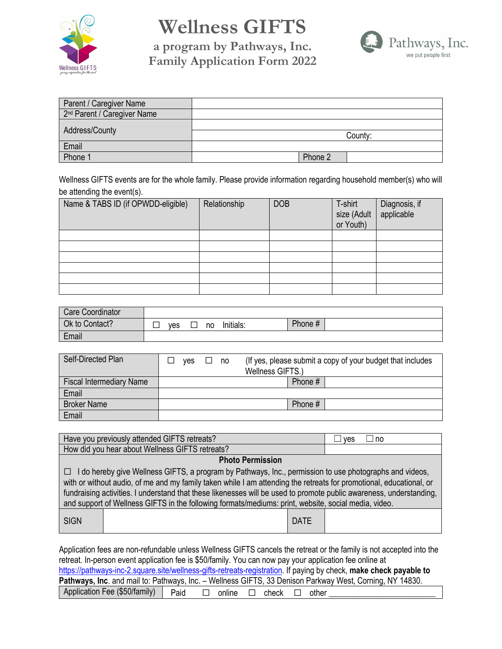

## **Wellness GIFTS**

**a program by Pathways, Inc. Family Application Form 2022**



| Parent / Caregiver Name                 |         |  |
|-----------------------------------------|---------|--|
| 2 <sup>nd</sup> Parent / Caregiver Name |         |  |
| Address/County                          |         |  |
|                                         | County: |  |
| Email                                   |         |  |
| Phone 1                                 | Phone 2 |  |

Wellness GIFTS events are for the whole family. Please provide information regarding household member(s) who will be attending the event(s).

| Name & TABS ID (if OPWDD-eligible) | Relationship | <b>DOB</b> | T-shirt<br>size (Adult<br>or Youth) | Diagnosis, if<br>applicable |
|------------------------------------|--------------|------------|-------------------------------------|-----------------------------|
|                                    |              |            |                                     |                             |
|                                    |              |            |                                     |                             |
|                                    |              |            |                                     |                             |
|                                    |              |            |                                     |                             |
|                                    |              |            |                                     |                             |
|                                    |              |            |                                     |                             |

| Care Coordinator |     |    |           |         |  |
|------------------|-----|----|-----------|---------|--|
| Ok to Contact?   | ves | no | Initials: | Phone # |  |
| Email            |     |    |           |         |  |

| Self-Directed Plan              | (If yes, please submit a copy of your budget that includes)<br>ves<br>no<br>Wellness GIFTS.) |           |  |
|---------------------------------|----------------------------------------------------------------------------------------------|-----------|--|
| <b>Fiscal Intermediary Name</b> |                                                                                              | Phone #   |  |
| Email                           |                                                                                              |           |  |
| <b>Broker Name</b>              |                                                                                              | Phone $#$ |  |
| Email                           |                                                                                              |           |  |

| Have you previously attended GIFTS retreats?                                                                                                                                                                                                                                                                                                                                                                                                                         | no<br>ves   |  |  |  |
|----------------------------------------------------------------------------------------------------------------------------------------------------------------------------------------------------------------------------------------------------------------------------------------------------------------------------------------------------------------------------------------------------------------------------------------------------------------------|-------------|--|--|--|
| How did you hear about Wellness GIFTS retreats?                                                                                                                                                                                                                                                                                                                                                                                                                      |             |  |  |  |
| <b>Photo Permission</b>                                                                                                                                                                                                                                                                                                                                                                                                                                              |             |  |  |  |
| $\Box$ I do hereby give Wellness GIFTS, a program by Pathways, Inc., permission to use photographs and videos,<br>with or without audio, of me and my family taken while I am attending the retreats for promotional, educational, or<br>fundraising activities. I understand that these likenesses will be used to promote public awareness, understanding,<br>and support of Wellness GIFTS in the following formats/mediums: print, website, social media, video. |             |  |  |  |
| <b>SIGN</b>                                                                                                                                                                                                                                                                                                                                                                                                                                                          | <b>DATE</b> |  |  |  |

Application fees are non-refundable unless Wellness GIFTS cancels the retreat or the family is not accepted into the retreat. In-person event application fee is \$50/family. You can now pay your application fee online at [https://pathways-inc-2.square.site/wellness-gifts-retreats-registration.](https://pathways-inc-2.square.site/wellness-gifts-retreats-registration) If paying by check, **make check payable to Pathways, Inc**. and mail to: Pathways, Inc. – Wellness GIFTS, 33 Denison Parkway West, Corning, NY 14830. Application Fee (\$50/family) Paid □ online □ check □ other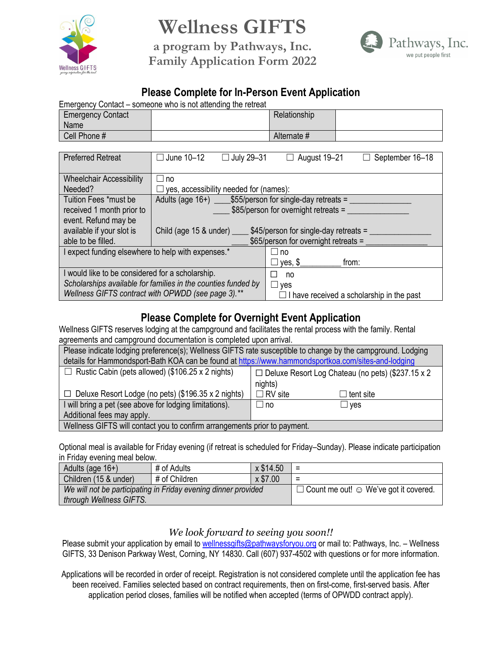

# **Wellness GIFTS**

**a program by Pathways, Inc. Family Application Form 2022**



## **Please Complete for In-Person Event Application**

|                                                                             | Emergency Contact – someone who is not attending the retreat        |                                      |                                           |
|-----------------------------------------------------------------------------|---------------------------------------------------------------------|--------------------------------------|-------------------------------------------|
| <b>Emergency Contact</b>                                                    |                                                                     | Relationship                         |                                           |
| Name                                                                        |                                                                     |                                      |                                           |
| Cell Phone #                                                                |                                                                     | Alternate #                          |                                           |
|                                                                             |                                                                     |                                      |                                           |
| <b>Preferred Retreat</b>                                                    | $\Box$ June 10-12<br>$\Box$ July 29-31                              | $\Box$ August 19-21                  | $\Box$ September 16-18                    |
|                                                                             |                                                                     |                                      |                                           |
| <b>Wheelchair Accessibility</b>                                             | $\Box$ no                                                           |                                      |                                           |
| Needed?                                                                     | $\Box$ yes, accessibility needed for (names):                       |                                      |                                           |
| Tuition Fees *must be                                                       | Adults (age $16+$ ) $\qquad$ \$55/person for single-day retreats =  |                                      |                                           |
| received 1 month prior to                                                   |                                                                     | \$85/person for overnight retreats = |                                           |
| event. Refund may be                                                        |                                                                     |                                      |                                           |
| available if your slot is                                                   | Child (age 15 & under) ______ \$45/person for single-day retreats = |                                      |                                           |
| able to be filled.                                                          |                                                                     | \$65/person for overnight retreats = |                                           |
| I expect funding elsewhere to help with expenses.*<br>$\sqcup$ no           |                                                                     |                                      |                                           |
|                                                                             |                                                                     | yes, \$                              | from:                                     |
| I would like to be considered for a scholarship.<br>no                      |                                                                     |                                      |                                           |
| Scholarships available for families in the counties funded by<br>$\Box$ yes |                                                                     |                                      |                                           |
|                                                                             | Wellness GIFTS contract with OPWDD (see page 3).**                  |                                      | I have received a scholarship in the past |

## **Please Complete for Overnight Event Application**

Wellness GIFTS reserves lodging at the campground and facilitates the rental process with the family. Rental agreements and campground documentation is completed upon arrival.

| Please indicate lodging preference(s); Wellness GIFTS rate susceptible to change by the campground. Lodging          |                                    |  |  |  |
|----------------------------------------------------------------------------------------------------------------------|------------------------------------|--|--|--|
| details for Hammondsport-Bath KOA can be found at https://www.hammondsportkoa.com/sites-and-lodging                  |                                    |  |  |  |
| $\Box$ Rustic Cabin (pets allowed) (\$106.25 x 2 nights)<br>$\Box$ Deluxe Resort Log Chateau (no pets) (\$237.15 x 2 |                                    |  |  |  |
| nights)                                                                                                              |                                    |  |  |  |
| $\Box$ Deluxe Resort Lodge (no pets) (\$196.35 x 2 nights)                                                           | $\Box$ RV site<br>$\Box$ tent site |  |  |  |
| I will bring a pet (see above for lodging limitations).                                                              | $\Box$ no<br>$\sqcup$ ves          |  |  |  |
| Additional fees may apply.                                                                                           |                                    |  |  |  |
| Wellness GIFTS will contact you to confirm arrangements prior to payment.                                            |                                    |  |  |  |

Optional meal is available for Friday evening (if retreat is scheduled for Friday–Sunday). Please indicate participation in Friday evening meal below.

| Adults (age $16+$ )     | # of Adults                                                    | x \$14.50 | ≔                                                  |
|-------------------------|----------------------------------------------------------------|-----------|----------------------------------------------------|
| Children (15 & under)   | # of Children                                                  | x \$7.00  | Ξ                                                  |
| through Wellness GIFTS. | We will not be participating in Friday evening dinner provided |           | $\Box$ Count me out! $\odot$ We've got it covered. |

#### *We look forward to seeing you soon!!*

Please submit your application by email to [wellnessgifts@pathwaysforyou.org](mailto:wellnessgifts@pathwaysforyou.org) or mail to: Pathways, Inc. - Wellness GIFTS, 33 Denison Parkway West, Corning, NY 14830. Call (607) 937-4502 with questions or for more information.

Applications will be recorded in order of receipt. Registration is not considered complete until the application fee has been received. Families selected based on contract requirements, then on first-come, first-served basis. After application period closes, families will be notified when accepted (terms of OPWDD contract apply).